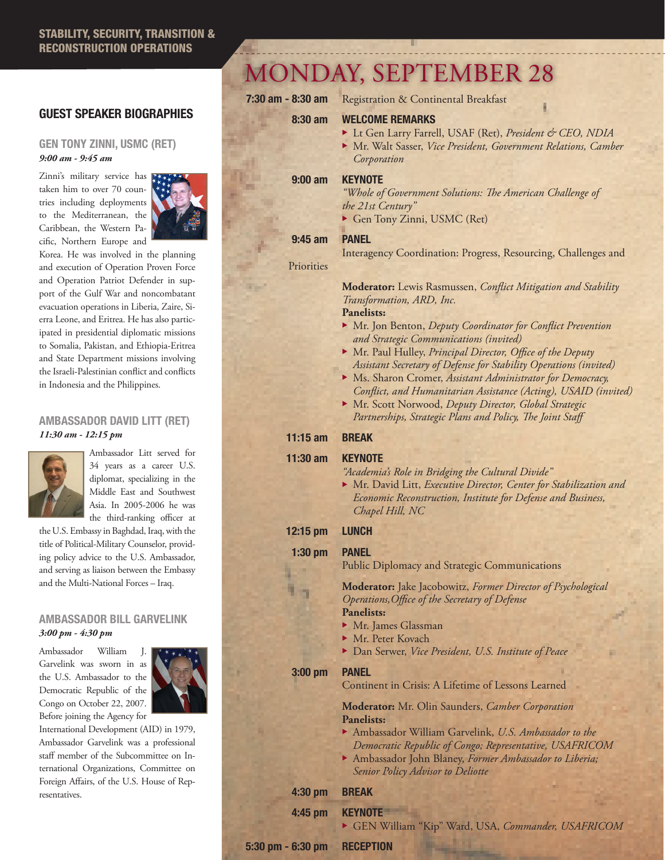# GUEST SPEAKER BIOGRAPHIES

### GEN TONY ZINNI, USMC (RET) *9:00 am - 9:45 am*

Zinni's military service has taken him to over 70 countries including deployments to the Mediterranean, the Caribbean, the Western Pacific, Northern Europe and



Korea. He was involved in the planning and execution of Operation Proven Force and Operation Patriot Defender in support of the Gulf War and noncombatant evacuation operations in Liberia, Zaire, Sierra Leone, and Eritrea. He has also participated in presidential diplomatic missions to Somalia, Pakistan, and Ethiopia-Eritrea and State Department missions involving the Israeli-Palestinian conflict and conflicts in Indonesia and the Philippines.

### AMBASSADOR DAVID LITT (RET) *11:30 am - 12:15 pm*



Ambassador Litt served for 34 years as a career U.S. diplomat, specializing in the Middle East and Southwest Asia. In 2005-2006 he was the third-ranking officer at

the U.S. Embassy in Baghdad, Iraq, with the title of Political-Military Counselor, providing policy advice to the U.S. Ambassador, and serving as liaison between the Embassy and the Multi-National Forces – Iraq.

## AMBASSADOR BILL GARVELINK *3:00 pm - 4:30 pm*

Ambassador William J. Garvelink was sworn in as the U.S. Ambassador to the Democratic Republic of the Congo on October 22, 2007. Before joining the Agency for



International Development (AID) in 1979, Ambassador Garvelink was a professional staff member of the Subcommittee on International Organizations, Committee on Foreign Affairs, of the U.S. House of Representatives.

# MONDAY, SEPTEMBER 28

7:30 am - 8:30 am Registration & Continental Breakfast

#### 8:30 am WELCOME REMARKS

- ▶ Lt Gen Larry Farrell, USAF (Ret), *President & CEO, NDIA*
- ▶ Mr. Walt Sasser, *Vice President, Government Relations, Camber Corporation*

### 9:00 am KEYNOTE

*"Whole of Government Solutions: The American Challenge of the 21st Century"*

Gen Tony Zinni, USMC (Ret)

### 9:45 am PANEL

**Priorities** 

### Interagency Coordination: Progress, Resourcing, Challenges and

**Moderator:** Lewis Rasmussen, *Conflict Mitigation and Stability Transformation, ARD, Inc.*

#### **Panelists:**

- ▶ Mr. Jon Benton, *Deputy Coordinator for Conflict Prevention and Strategic Communications (invited)*
- ▶ Mr. Paul Hulley, *Principal Director*, *Office of the Deputy Assistant Secretary of Defense for Stability Operations (invited)*
- ▶ Ms. Sharon Cromer, *Assistant Administrator for Democracy*,  *Conflict, and Humanitarian Assistance (Acting), USAID (invited)*
- ▶ Mr. Scott Norwood, *Deputy Director, Global Strategic Partnerships, Strategic Plans and Policy, The Joint Staff*

# 11:15 am BREAK

#### 11:30 am KEYNOTE

- *"Academia's Role in Bridging the Cultural Divide"*
- ▶ Mr. David Litt, *Executive Director, Center for Stabilization and Economic Reconstruction, Institute for Defense and Business, Chapel Hill, NC*
- 12:15 pm LUNCH

1:30 pm PANEL

n.

Public Diplomacy and Strategic Communications

**Moderator:** Jake Jacobowitz, *Former Director of Psychological Operations,Office of the Secretary of Defense*

# **Panelists:**

- $\blacktriangleright$  Mr. James Glassman
- ▶ Mr. Peter Kovach
- ▶ Dan Serwer, *Vice President, U.S. Institute of Peace*

3:00 pm PANEL

Continent in Crisis: A Lifetime of Lessons Learned

**Moderator:** Mr. Olin Saunders, *Camber Corporation* **Panelists:**

- ▶ Ambassador William Garvelink, *U.S. Ambassador to the Democratic Republic of Congo; Representative, USAFRICOM*
- <sup>u</sup> Ambassador John Blaney, *Former Ambassador to Liberia; Senior Policy Advisor to Deliotte*

# 4:30 pm BREAK

4:45 pm KEYNOTE

<sup>u</sup> GEN William "Kip" Ward, USA, *Commander, USAFRICOM*

5:30 pm - 6:30 pm RECEPTION